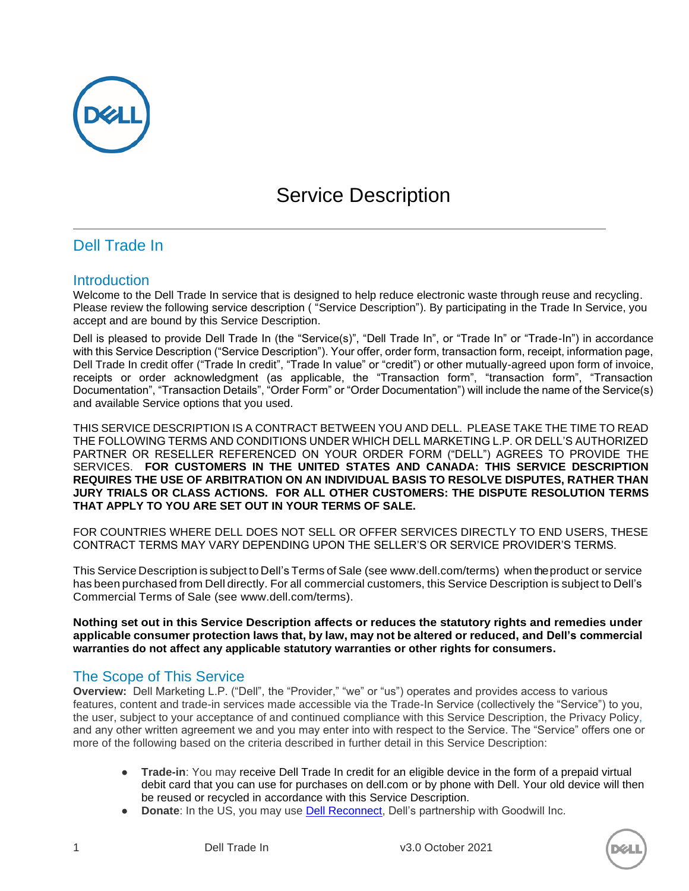

# Service Description

# Dell Trade In

## Introduction

Welcome to the Dell Trade In service that is designed to help reduce electronic waste through reuse and recycling. Please review the following service description ( "Service Description"). By participating in the Trade In Service, you accept and are bound by this Service Description.

Dell is pleased to provide Dell Trade In (the "Service(s)", "Dell Trade In", or "Trade In" or "Trade-In") in accordance with this Service Description ("Service Description"). Your offer, order form, transaction form, receipt, information page, Dell Trade In credit offer ("Trade In credit", "Trade In value" or "credit") or other mutually-agreed upon form of invoice, receipts or order acknowledgment (as applicable, the "Transaction form", "transaction form", "Transaction Documentation", "Transaction Details", "Order Form" or "Order Documentation") will include the name of the Service(s) and available Service options that you used.

THIS SERVICE DESCRIPTION IS A CONTRACT BETWEEN YOU AND DELL. PLEASE TAKE THE TIME TO READ THE FOLLOWING TERMS AND CONDITIONS UNDER WHICH DELL MARKETING L.P. OR DELL'S AUTHORIZED PARTNER OR RESELLER REFERENCED ON YOUR ORDER FORM ("DELL") AGREES TO PROVIDE THE SERVICES. **FOR CUSTOMERS IN THE UNITED STATES AND CANADA: THIS SERVICE DESCRIPTION REQUIRES THE USE OF ARBITRATION ON AN INDIVIDUAL BASIS TO RESOLVE DISPUTES, RATHER THAN JURY TRIALS OR CLASS ACTIONS. FOR ALL OTHER CUSTOMERS: THE DISPUTE RESOLUTION TERMS THAT APPLY TO YOU ARE SET OUT IN YOUR TERMS OF SALE.**

FOR COUNTRIES WHERE DELL DOES NOT SELL OR OFFER SERVICES DIRECTLY TO END USERS, THESE CONTRACT TERMS MAY VARY DEPENDING UPON THE SELLER'S OR SERVICE PROVIDER'S TERMS.

This Service Description is subject to Dell's Terms of Sale (see www.dell.com/terms) when the product or service has been purchased from Dell directly. For all commercial customers, this Service Description is subject to Dell's Commercial Terms of Sale (see www.dell.com/terms).

**Nothing set out in this Service Description affects or reduces the statutory rights and remedies under applicable consumer protection laws that, by law, may not be altered or reduced, and Dell's commercial warranties do not affect any applicable statutory warranties or other rights for consumers.**

# The Scope of This Service

**Overview:** Dell Marketing L.P. ("Dell", the "Provider," "we" or "us") operates and provides access to various features, content and trade-in services made accessible via the Trade-In Service (collectively the "Service") to you, the user, subject to your acceptance of and continued compliance with this Service Description, the Privacy Policy, and any other written agreement we and you may enter into with respect to the Service. The "Service" offers one or more of the following based on the criteria described in further detail in this Service Description:

- **Trade-in**: You may receive Dell Trade In credit for an eligible device in the form of a prepaid virtual debit card that you can use for purchases on dell.com or by phone with Dell. Your old device will then be reused or recycled in accordance with this Service Description.
- **Donate:** In the US, you may use **Dell Reconnect**, Dell's partnership with Goodwill Inc.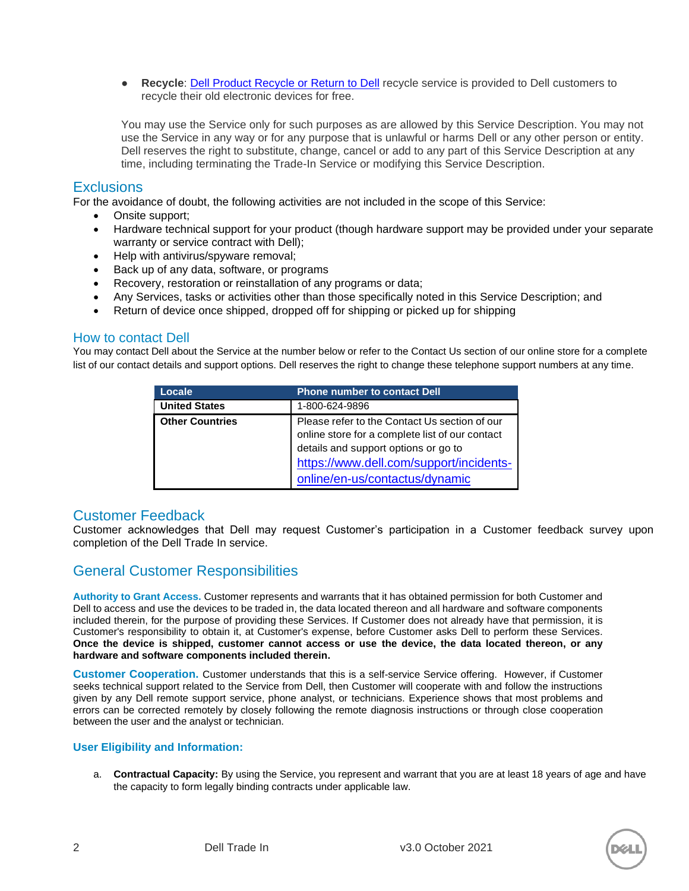● **Recycle**: [Dell Product Recycle or Return to Dell](https://corporate.delltechnologies.com/en-us/social-impact/advancing-sustainability/how-to-recycle.htm#/cdt/home/pcs-and-laptops) recycle service is provided to Dell customers to recycle their old electronic devices for free.

You may use the Service only for such purposes as are allowed by this Service Description. You may not use the Service in any way or for any purpose that is unlawful or harms Dell or any other person or entity. Dell reserves the right to substitute, change, cancel or add to any part of this Service Description at any time, including terminating the Trade-In Service or modifying this Service Description.

#### **Exclusions**

For the avoidance of doubt, the following activities are not included in the scope of this Service:

- Onsite support;
- Hardware technical support for your product (though hardware support may be provided under your separate warranty or service contract with Dell);
- Help with antivirus/spyware removal;
- Back up of any data, software, or programs
- Recovery, restoration or reinstallation of any programs or data;
- Any Services, tasks or activities other than those specifically noted in this Service Description; and
- Return of device once shipped, dropped off for shipping or picked up for shipping

#### How to contact Dell

You may contact Dell about the Service at the number below or refer to the Contact Us section of our online store for a complete list of our contact details and support options. Dell reserves the right to change these telephone support numbers at any time.

| Locale                 | <b>Phone number to contact Dell</b>                                                                                                                                                 |
|------------------------|-------------------------------------------------------------------------------------------------------------------------------------------------------------------------------------|
| <b>United States</b>   | 1-800-624-9896                                                                                                                                                                      |
| <b>Other Countries</b> | Please refer to the Contact Us section of our<br>online store for a complete list of our contact<br>details and support options or go to<br>https://www.dell.com/support/incidents- |
|                        | online/en-us/contactus/dynamic                                                                                                                                                      |

### Customer Feedback

Customer acknowledges that Dell may request Customer's participation in a Customer feedback survey upon completion of the Dell Trade In service.

# General Customer Responsibilities

**Authority to Grant Access.** Customer represents and warrants that it has obtained permission for both Customer and Dell to access and use the devices to be traded in, the data located thereon and all hardware and software components included therein, for the purpose of providing these Services. If Customer does not already have that permission, it is Customer's responsibility to obtain it, at Customer's expense, before Customer asks Dell to perform these Services. **Once the device is shipped, customer cannot access or use the device, the data located thereon, or any hardware and software components included therein.**

**Customer Cooperation.** Customer understands that this is a self-service Service offering. However, if Customer seeks technical support related to the Service from Dell, then Customer will cooperate with and follow the instructions given by any Dell remote support service, phone analyst, or technicians. Experience shows that most problems and errors can be corrected remotely by closely following the remote diagnosis instructions or through close cooperation between the user and the analyst or technician.

#### **User Eligibility and Information:**

a. **Contractual Capacity:** By using the Service, you represent and warrant that you are at least 18 years of age and have the capacity to form legally binding contracts under applicable law.

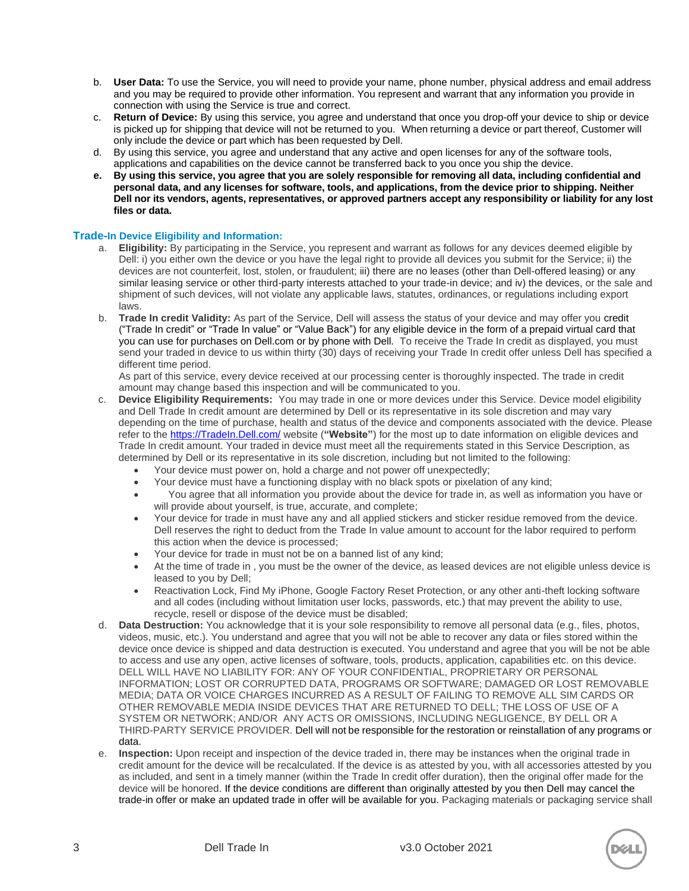- b. **User Data:** To use the Service, you will need to provide your name, phone number, physical address and email address and you may be required to provide other information. You represent and warrant that any information you provide in connection with using the Service is true and correct.
- c. **Return of Device:** By using this service, you agree and understand that once you drop-off your device to ship or device is picked up for shipping that device will not be returned to you. When returning a device or part thereof, Customer will only include the device or part which has been requested by Dell.
- d. By using this service, you agree and understand that any active and open licenses for any of the software tools, applications and capabilities on the device cannot be transferred back to you once you ship the device.
- **e. By using this service, you agree that you are solely responsible for removing all data, including confidential and personal data, and any licenses for software, tools, and applications, from the device prior to shipping. Neither Dell nor its vendors, agents, representatives, or approved partners accept any responsibility or liability for any lost files or data.**

#### **Trade-In Device Eligibility and Information:**

- a. **Eligibility:** By participating in the Service, you represent and warrant as follows for any devices deemed eligible by Dell: i) you either own the device or you have the legal right to provide all devices you submit for the Service; ii) the devices are not counterfeit, lost, stolen, or fraudulent; iii) there are no leases (other than Dell-offered leasing) or any similar leasing service or other third-party interests attached to your trade-in device; and iv) the devices, or the sale and shipment of such devices, will not violate any applicable laws, statutes, ordinances, or regulations including export laws.
- b. **Trade In credit Validity:** As part of the Service, Dell will assess the status of your device and may offer you credit ("Trade In credit" or "Trade In value" or "Value Back") for any eligible device in the form of a prepaid virtual card that you can use for purchases on Dell.com or by phone with Dell. To receive the Trade In credit as displayed, you must send your traded in device to us within thirty (30) days of receiving your Trade In credit offer unless Dell has specified a different time period.

As part of this service, every device received at our processing center is thoroughly inspected. The trade in credit amount may change based this inspection and will be communicated to you.

- c. **Device Eligibility Requirements:** You may trade in one or more devices under this Service. Device model eligibility and Dell Trade In credit amount are determined by Dell or its representative in its sole discretion and may vary depending on the time of purchase, health and status of the device and components associated with the device. Please refer to the [https://TradeIn.Dell.com/](https://tradein.dell.com/) website (**"Website"**) for the most up to date information on eligible devices and Trade In credit amount. Your traded in device must meet all the requirements stated in this Service Description, as determined by Dell or its representative in its sole discretion, including but not limited to the following:
	- Your device must power on, hold a charge and not power off unexpectedly;
	- Your device must have a functioning display with no black spots or pixelation of any kind;
	- You agree that all information you provide about the device for trade in, as well as information you have or will provide about yourself, is true, accurate, and complete;
	- Your device for trade in must have any and all applied stickers and sticker residue removed from the device. Dell reserves the right to deduct from the Trade In value amount to account for the labor required to perform this action when the device is processed;
	- Your device for trade in must not be on a banned list of any kind;
	- At the time of trade in , you must be the owner of the device, as leased devices are not eligible unless device is leased to you by Dell;
	- Reactivation Lock, Find My iPhone, Google Factory Reset Protection, or any other anti-theft locking software and all codes (including without limitation user locks, passwords, etc.) that may prevent the ability to use, recycle, resell or dispose of the device must be disabled;
- d. **Data Destruction:** You acknowledge that it is your sole responsibility to remove all personal data (e.g., files, photos, videos, music, etc.). You understand and agree that you will not be able to recover any data or files stored within the device once device is shipped and data destruction is executed. You understand and agree that you will be not be able to access and use any open, active licenses of software, tools, products, application, capabilities etc. on this device. DELL WILL HAVE NO LIABILITY FOR: ANY OF YOUR CONFIDENTIAL, PROPRIETARY OR PERSONAL INFORMATION; LOST OR CORRUPTED DATA, PROGRAMS OR SOFTWARE; DAMAGED OR LOST REMOVABLE MEDIA; DATA OR VOICE CHARGES INCURRED AS A RESULT OF FAILING TO REMOVE ALL SIM CARDS OR OTHER REMOVABLE MEDIA INSIDE DEVICES THAT ARE RETURNED TO DELL; THE LOSS OF USE OF A SYSTEM OR NETWORK; AND/OR ANY ACTS OR OMISSIONS, INCLUDING NEGLIGENCE, BY DELL OR A THIRD-PARTY SERVICE PROVIDER. Dell will not be responsible for the restoration or reinstallation of any programs or data.
- e. **Inspection:** Upon receipt and inspection of the device traded in, there may be instances when the original trade in credit amount for the device will be recalculated. If the device is as attested by you, with all accessories attested by you as included, and sent in a timely manner (within the Trade In credit offer duration), then the original offer made for the device will be honored. If the device conditions are different than originally attested by you then Dell may cancel the trade-in offer or make an updated trade in offer will be available for you. Packaging materials or packaging service shall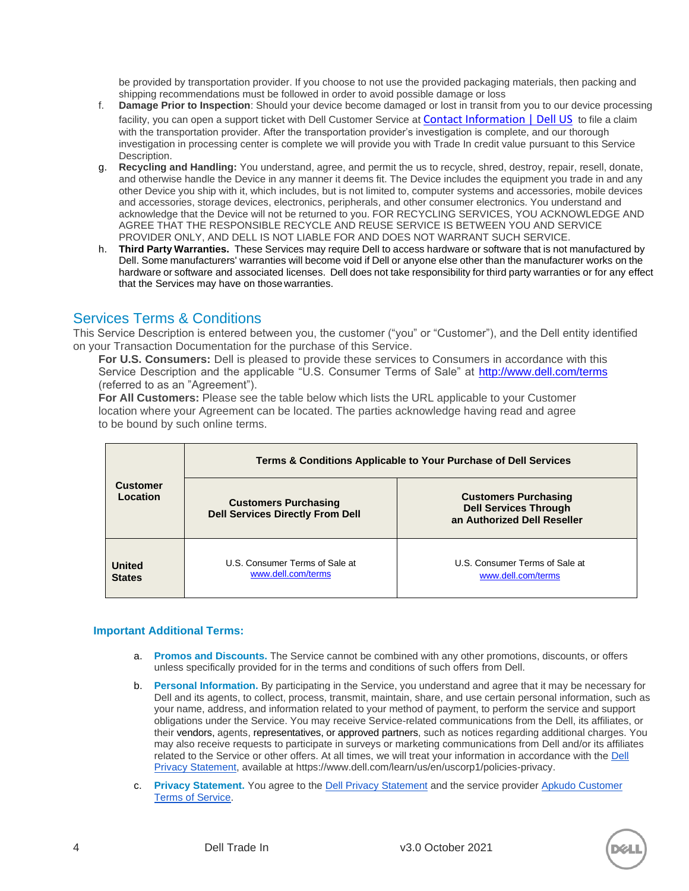be provided by transportation provider. If you choose to not use the provided packaging materials, then packing and shipping recommendations must be followed in order to avoid possible damage or loss

- f. **Damage Prior to Inspection**: Should your device become damaged or lost in transit from you to our device processing facility, you can open a support ticket with Dell Customer Service at [Contact Information | Dell US](https://www.dell.com/support/contents/en-us/category/contact-information) to file a claim with the transportation provider. After the transportation provider's investigation is complete, and our thorough investigation in processing center is complete we will provide you with Trade In credit value pursuant to this Service Description.
- g. **Recycling and Handling:** You understand, agree, and permit the us to recycle, shred, destroy, repair, resell, donate, and otherwise handle the Device in any manner it deems fit. The Device includes the equipment you trade in and any other Device you ship with it, which includes, but is not limited to, computer systems and accessories, mobile devices and accessories, storage devices, electronics, peripherals, and other consumer electronics. You understand and acknowledge that the Device will not be returned to you. FOR RECYCLING SERVICES, YOU ACKNOWLEDGE AND AGREE THAT THE RESPONSIBLE RECYCLE AND REUSE SERVICE IS BETWEEN YOU AND SERVICE PROVIDER ONLY, AND DELL IS NOT LIABLE FOR AND DOES NOT WARRANT SUCH SERVICE.
- h. **Third Party Warranties.** These Services may require Dell to access hardware or software that is not manufactured by Dell. Some manufacturers' warranties will become void if Dell or anyone else other than the manufacturer works on the hardware or software and associated licenses. Dell does not take responsibility for third party warranties or for any effect that the Services may have on thosewarranties.

## Services Terms & Conditions

This Service Description is entered between you, the customer ("you" or "Customer"), and the Dell entity identified on your Transaction Documentation for the purchase of this Service.

**For U.S. Consumers:** Dell is pleased to provide these services to Consumers in accordance with this Service Description and the applicable "U.S. Consumer Terms of Sale" at<http://www.dell.com/terms> (referred to as an "Agreement").

**For All Customers:** Please see the table below which lists the URL applicable to your Customer location where your Agreement can be located. The parties acknowledge having read and agree to be bound by such online terms.

|                                | Terms & Conditions Applicable to Your Purchase of Dell Services        |                                                                                            |  |
|--------------------------------|------------------------------------------------------------------------|--------------------------------------------------------------------------------------------|--|
| <b>Customer</b><br>Location    | <b>Customers Purchasing</b><br><b>Dell Services Directly From Dell</b> | <b>Customers Purchasing</b><br><b>Dell Services Through</b><br>an Authorized Dell Reseller |  |
| <b>United</b><br><b>States</b> | U.S. Consumer Terms of Sale at<br>www.dell.com/terms                   | U.S. Consumer Terms of Sale at<br>www.dell.com/terms                                       |  |

#### **Important Additional Terms:**

- a. **Promos and Discounts.** The Service cannot be combined with any other promotions, discounts, or offers unless specifically provided for in the terms and conditions of such offers from Dell.
- b. **Personal Information.** By participating in the Service, you understand and agree that it may be necessary for Dell and its agents, to collect, process, transmit, maintain, share, and use certain personal information, such as your name, address, and information related to your method of payment, to perform the service and support obligations under the Service. You may receive Service-related communications from the Dell, its affiliates, or their vendors, agents, representatives, or approved partners, such as notices regarding additional charges. You may also receive requests to participate in surveys or marketing communications from Dell and/or its affiliates related to the Service or other offers. At all times, we will treat your information in accordance with the Dell [Privacy Statement,](https://www.dell.com/learn/us/en/uscorp1/policies-privacy) available at https://www.dell.com/learn/us/en/uscorp1/policies-privacy.
- c. **Privacy Statement.** You agree to the [Dell Privacy Statement](https://www.dell.com/learn/us/en/uscorp1/policies-privacy) and the service provider [Apkudo Customer](https://apkudo.com/legal/terms-of-service.html)  [Terms of Service.](https://apkudo.com/legal/terms-of-service.html)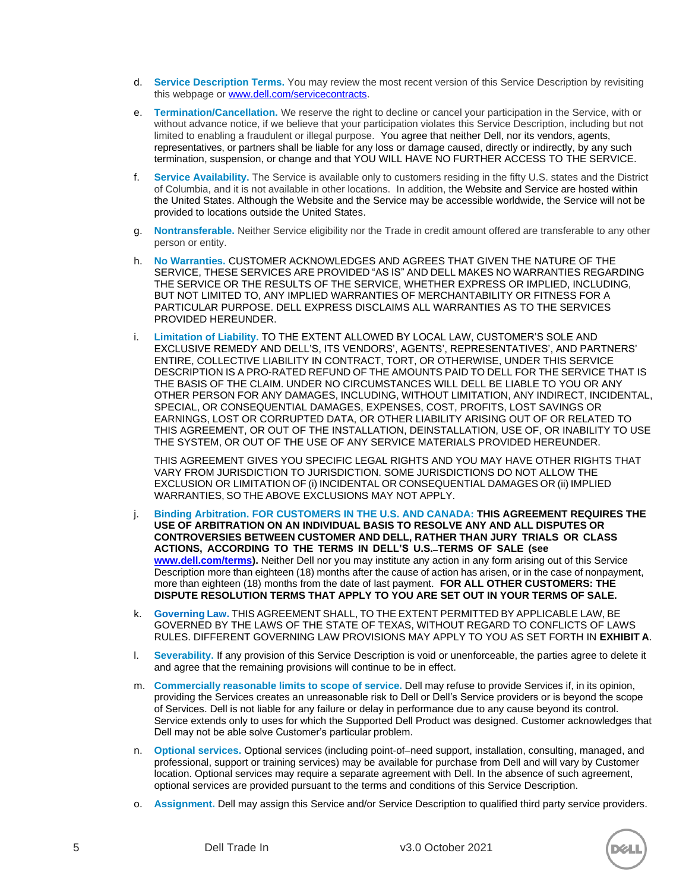- d. **Service Description Terms.** You may review the most recent version of this Service Description by revisiting this webpage or [www.dell.com/servicecontracts.](http://www.dell.com/servicecontracts)
- e. **Termination/Cancellation.** We reserve the right to decline or cancel your participation in the Service, with or without advance notice, if we believe that your participation violates this Service Description, including but not limited to enabling a fraudulent or illegal purpose. You agree that neither Dell, nor its vendors, agents, representatives, or partners shall be liable for any loss or damage caused, directly or indirectly, by any such termination, suspension, or change and that YOU WILL HAVE NO FURTHER ACCESS TO THE SERVICE.
- f. **Service Availability.** The Service is available only to customers residing in the fifty U.S. states and the District of Columbia, and it is not available in other locations. In addition, the Website and Service are hosted within the United States. Although the Website and the Service may be accessible worldwide, the Service will not be provided to locations outside the United States.
- g. **Nontransferable.** Neither Service eligibility nor the Trade in credit amount offered are transferable to any other person or entity.
- h. **No Warranties.** CUSTOMER ACKNOWLEDGES AND AGREES THAT GIVEN THE NATURE OF THE SERVICE, THESE SERVICES ARE PROVIDED "AS IS" AND DELL MAKES NO WARRANTIES REGARDING THE SERVICE OR THE RESULTS OF THE SERVICE, WHETHER EXPRESS OR IMPLIED, INCLUDING, BUT NOT LIMITED TO, ANY IMPLIED WARRANTIES OF MERCHANTABILITY OR FITNESS FOR A PARTICULAR PURPOSE. DELL EXPRESS DISCLAIMS ALL WARRANTIES AS TO THE SERVICES PROVIDED HEREUNDER.
- i. **Limitation of Liability.** TO THE EXTENT ALLOWED BY LOCAL LAW, CUSTOMER'S SOLE AND EXCLUSIVE REMEDY AND DELL'S, ITS VENDORS', AGENTS', REPRESENTATIVES', AND PARTNERS' ENTIRE, COLLECTIVE LIABILITY IN CONTRACT, TORT, OR OTHERWISE, UNDER THIS SERVICE DESCRIPTION IS A PRO-RATED REFUND OF THE AMOUNTS PAID TO DELL FOR THE SERVICE THAT IS THE BASIS OF THE CLAIM. UNDER NO CIRCUMSTANCES WILL DELL BE LIABLE TO YOU OR ANY OTHER PERSON FOR ANY DAMAGES, INCLUDING, WITHOUT LIMITATION, ANY INDIRECT, INCIDENTAL, SPECIAL, OR CONSEQUENTIAL DAMAGES, EXPENSES, COST, PROFITS, LOST SAVINGS OR EARNINGS, LOST OR CORRUPTED DATA, OR OTHER LIABILITY ARISING OUT OF OR RELATED TO THIS AGREEMENT, OR OUT OF THE INSTALLATION, DEINSTALLATION, USE OF, OR INABILITY TO USE THE SYSTEM, OR OUT OF THE USE OF ANY SERVICE MATERIALS PROVIDED HEREUNDER.

THIS AGREEMENT GIVES YOU SPECIFIC LEGAL RIGHTS AND YOU MAY HAVE OTHER RIGHTS THAT VARY FROM JURISDICTION TO JURISDICTION. SOME JURISDICTIONS DO NOT ALLOW THE EXCLUSION OR LIMITATION OF (i) INCIDENTAL OR CONSEQUENTIAL DAMAGES OR (ii) IMPLIED WARRANTIES, SO THE ABOVE EXCLUSIONS MAY NOT APPLY.

- j. **Binding Arbitration. FOR CUSTOMERS IN THE U.S. AND CANADA: THIS AGREEMENT REQUIRES THE USE OF ARBITRATION ON AN INDIVIDUAL BASIS TO RESOLVE ANY AND ALL DISPUTES OR CONTROVERSIES BETWEEN CUSTOMER AND DELL, RATHER THAN JURY TRIALS OR CLASS ACTIONS, ACCORDING TO THE TERMS IN DELL'S U.S. TERMS OF SALE (see [www.dell.com/terms\)](http://www.dell.com/terms).** Neither Dell nor you may institute any action in any form arising out of this Service Description more than eighteen (18) months after the cause of action has arisen, or in the case of nonpayment, more than eighteen (18) months from the date of last payment. **FOR ALL OTHER CUSTOMERS: THE DISPUTE RESOLUTION TERMS THAT APPLY TO YOU ARE SET OUT IN YOUR TERMS OF SALE.**
- k. **Governing Law.** THIS AGREEMENT SHALL, TO THE EXTENT PERMITTED BY APPLICABLE LAW, BE GOVERNED BY THE LAWS OF THE STATE OF TEXAS, WITHOUT REGARD TO CONFLICTS OF LAWS RULES. DIFFERENT GOVERNING LAW PROVISIONS MAY APPLY TO YOU AS SET FORTH IN **EXHIBIT A**.
- l. **Severability.** If any provision of this Service Description is void or unenforceable, the parties agree to delete it and agree that the remaining provisions will continue to be in effect.
- m. **Commercially reasonable limits to scope of service.** Dell may refuse to provide Services if, in its opinion, providing the Services creates an unreasonable risk to Dell or Dell's Service providers or is beyond the scope of Services. Dell is not liable for any failure or delay in performance due to any cause beyond its control. Service extends only to uses for which the Supported Dell Product was designed. Customer acknowledges that Dell may not be able solve Customer's particular problem.
- n. **Optional services.** Optional services (including point-of–need support, installation, consulting, managed, and professional, support or training services) may be available for purchase from Dell and will vary by Customer location. Optional services may require a separate agreement with Dell. In the absence of such agreement, optional services are provided pursuant to the terms and conditions of this Service Description.
- Assignment. Dell may assign this Service and/or Service Description to qualified third party service providers.